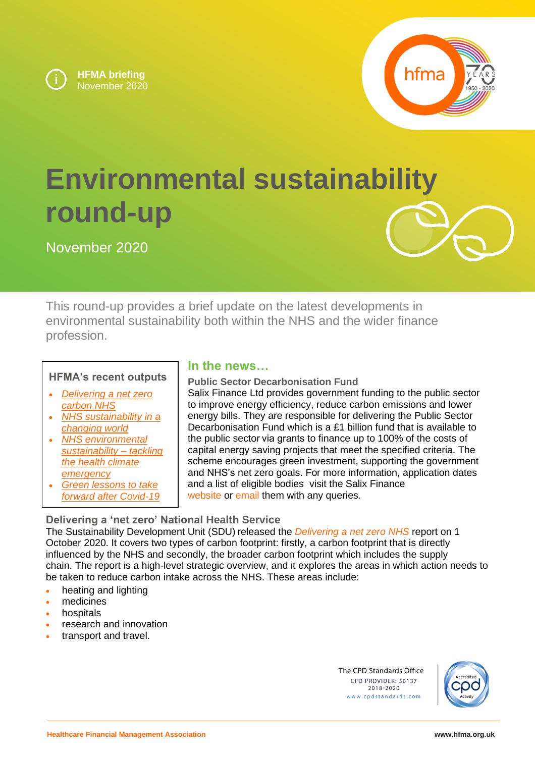



# **Environmental sustainability round-up**

November 2020



This round-up provides a brief update on the latest developments in environmental sustainability both within the NHS and the wider finance profession.

## **HFMA's recent outputs**

- *[Delivering a net zero](https://www.hfma.org.uk/news/blogs/blog-post/delivering-a-net-zero-carbon-nhs)  [carbon NHS](https://www.hfma.org.uk/news/blogs/blog-post/delivering-a-net-zero-carbon-nhs)*
- *[NHS sustainability in a](https://www.hfma.org.uk/news/blogs/blog-post/nhs-sustainability-in-a-changing-world)  [changing world](https://www.hfma.org.uk/news/blogs/blog-post/nhs-sustainability-in-a-changing-world)*
- *[NHS environmental](https://www.hfma.org.uk/education-events/hfma-event/nhs-environmental-sustainability-tackling-the-health-climate-emergency)  [sustainability –](https://www.hfma.org.uk/education-events/hfma-event/nhs-environmental-sustainability-tackling-the-health-climate-emergency) tackling [the health climate](https://www.hfma.org.uk/education-events/hfma-event/nhs-environmental-sustainability-tackling-the-health-climate-emergency)  [emergency](https://www.hfma.org.uk/education-events/hfma-event/nhs-environmental-sustainability-tackling-the-health-climate-emergency)*
- *[Green lessons to take](https://www.hfma.org.uk/our-networks/hfma-hub/resources/green-lessons-to-take-forward-after-covid-19)  [forward after Covid-19](https://www.hfma.org.uk/our-networks/hfma-hub/resources/green-lessons-to-take-forward-after-covid-19)*

### **In the news…**

**Public Sector Decarbonisation Fund** Salix Finance Ltd provides government funding to the public sector to improve energy efficiency, reduce carbon emissions and lower energy bills. They are responsible for delivering the Public Sector Decarbonisation Fund which is a £1 billion fund that is available to the public sector via grants to finance up to 100% of the costs of capital energy saving projects that meet the specified criteria. The scheme encourages green investment, supporting the government and NHS's net zero goals. For more information, application dates and a list of eligible bodies visit the Salix Finance [website](https://www.salixfinance.co.uk/PSDS) or [email](mailto:grants@salixfinance.co.uk) them with any queries.

# **Delivering a 'net zero' National Health Service**

The Sustainability Development Unit (SDU) released the *[Delivering a net zero NHS](https://www.england.nhs.uk/greenernhs/publication/delivering-a-net-zero-national-health-service/)* report on 1 October 2020. It covers two types of carbon footprint: firstly, a carbon footprint that is directly influenced by the NHS and secondly, the broader carbon footprint which includes the supply chain. The report is a high-level strategic overview, and it explores the areas in which action needs to be taken to reduce carbon intake across the NHS. These areas include:

- heating and lighting
- medicines
- **hospitals**
- research and innovation
- transport and travel.

The CPD Standards Office CPD PROVIDER: 50137 2018-2020 www.cpdstandards.com

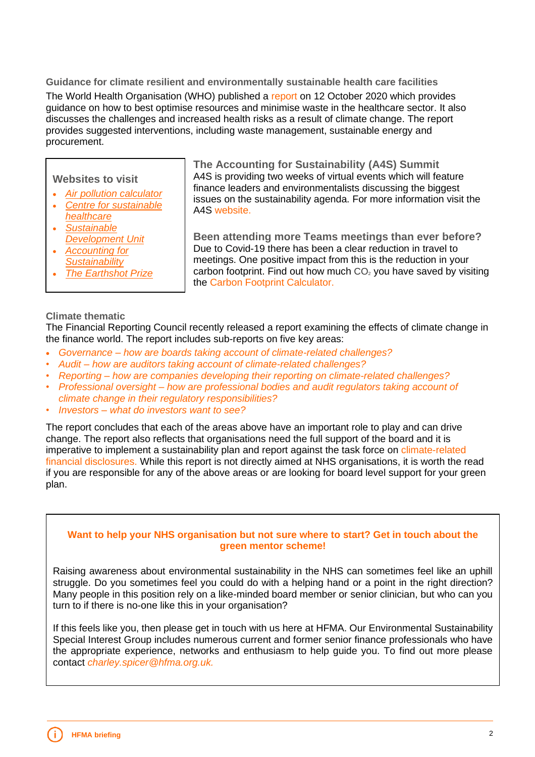**Guidance for climate resilient and environmentally sustainable health care facilities** The World Health Organisation (WHO) published a [report](https://www.who.int/publications/i/item/climate-resilient-and-environmentally-sustainable-health-care-facilities) on 12 October 2020 which provides guidance on how to best optimise resources and minimise waste in the healthcare sector. It also discusses the challenges and increased health risks as a result of climate change. The report provides suggested interventions, including waste management, sustainable energy and procurement.

**Websites to visit**

- *[Air pollution calculator](http://calculator.cleanairhub.org.uk/quiz)*
- *[Centre for sustainable](https://sustainablehealthcare.org.uk/)  [healthcare](https://sustainablehealthcare.org.uk/)*
- *[Sustainable](https://www.sduhealth.org.uk/)  [Development Unit](https://www.sduhealth.org.uk/)*
- *[Accounting for](https://www.accountingforsustainability.org/en/index.html)  [Sustainability](https://www.accountingforsustainability.org/en/index.html)*
- *[The Earthshot Prize](https://earthshotprize.org/awards/)*

**The Accounting for Sustainability (A4S) Summit** A4S is providing two weeks of virtual events which will feature finance leaders and environmentalists discussing the biggest issues on the sustainability agenda. For more information visit the A4S [website.](https://www.eventsforce.net/accountingforsustainability/frontend/reg/thome.csp?pageID=256&ef_sel_menu=18&eventID=2)

**Been attending more Teams meetings than ever before?** Due to Covid-19 there has been a clear reduction in travel to meetings. One positive impact from this is the reduction in your carbon footprint. Find out how much  $CO<sub>2</sub>$  you have saved by visiting the [Carbon Footprint Calculator.](https://www.carbonfootprint.com/calculator.aspx)

#### **Climate thematic**

The Financial Reporting Council recently released a report examining the effects of climate change in the finance world. The report includes sub-reports on five key areas:

- *Governance – [how are boards taking account of climate-related challenges?](https://www.frc.org.uk/getattachment/1b770484-d81e-4dca-8565-2c88415e801d/Governance-FINAL.pdf)*
- *Audit – [how are auditors taking account of climate-related challenges?](https://www.frc.org.uk/getattachment/0ef2c94a-9028-4efa-ac80-3b8c2e0d9a11/Audit-FINAL.pdf)*
- *Reporting – [how are companies developing their reporting on climate-related challenges?](https://www.frc.org.uk/getattachment/6d8c6574-e07f-41a9-b5bb-d3fea57a3ab9/Reporting-FINAL.pdf)*
- *Professional oversight – [how are professional bodies and audit regulators taking account of](https://www.frc.org.uk/getattachment/00152a25-00d5-4bb8-a1e8-eb5795f30746/Professional-Oversight-FINAL.pdf)  [climate change in their regulatory responsibilities?](https://www.frc.org.uk/getattachment/00152a25-00d5-4bb8-a1e8-eb5795f30746/Professional-Oversight-FINAL.pdf)*
- *Investors – [what do investors want to see?](https://www.frc.org.uk/getattachment/7e5a9c59-c67d-4dd4-8663-8601332c9dd9/Investors-FINAL.pdf)*

The report concludes that each of the areas above have an important role to play and can drive change. The report also reflects that organisations need the full support of the board and it is imperative to implement a sustainability plan and report against the task force on climate-related [financial disclosures.](https://www.fsb-tcfd.org/) While this report is not directly aimed at NHS organisations, it is worth the read if you are responsible for any of the above areas or are looking for board level support for your green plan.

#### **Want to help your NHS organisation but not sure where to start? Get in touch about the green mentor scheme!**

Raising awareness about environmental sustainability in the NHS can sometimes feel like an uphill struggle. Do you sometimes feel you could do with a helping hand or a point in the right direction? Many people in this position rely on a like-minded board member or senior clinician, but who can you turn to if there is no-one like this in your organisation?

If this feels like you, then please get in touch with us here at HFMA. Our Environmental Sustainability Special Interest Group includes numerous current and former senior finance professionals who have the appropriate experience, networks and enthusiasm to help guide you. To find out more please contact *charley.spicer@hfma.org.uk.*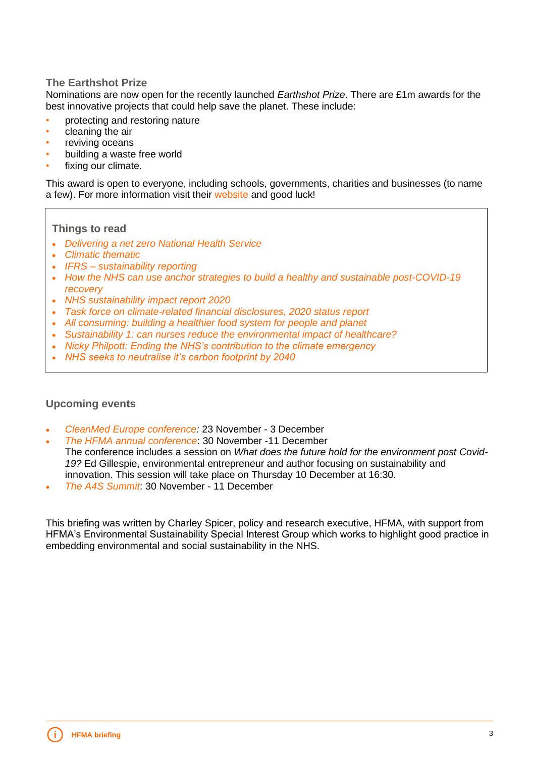#### **The Earthshot Prize**

Nominations are now open for the recently launched *Earthshot Prize*. There are £1m awards for the best innovative projects that could help save the planet. These include:

- protecting and restoring nature
- cleaning the air
- reviving oceans
- building a waste free world
- fixing our climate.

This award is open to everyone, including schools, governments, charities and businesses (to name a few). For more information visit their [website](https://earthshotprize.org/) and good luck!

#### **Things to read**

- *[Delivering a net zero National Health Service](https://www.england.nhs.uk/greenernhs/publication/delivering-a-net-zero-national-health-service/)*
- *[Climatic thematic](https://www.frc.org.uk/getattachment/ab63c220-6e2b-47e6-924e-8f369512e0a6/Summary-FINAL.pdf)*
- *IFRS – [sustainability reporting](https://www.ifrs.org/projects/work-plan/sustainability-reporting/#current-stage)*
- *[How the NHS can use anchor strategies to build a healthy and sustainable post-COVID-19](https://www.health.org.uk/news-and-comment/blogs/how-the-nhs-can-use-anchor-strategies-to-build-a-healthy-and-sustainable)  [recovery](https://www.health.org.uk/news-and-comment/blogs/how-the-nhs-can-use-anchor-strategies-to-build-a-healthy-and-sustainable)*
- *[NHS sustainability impact report 2020](https://www.health.org.uk/news-and-comment/blogs/how-the-nhs-can-use-anchor-strategies-to-build-a-healthy-and-sustainable)*
- *[Task force on climate-related financial disclosures, 2020 status report](https://assets.bbhub.io/company/sites/60/2020/09/2020-TCFD_Status-Report.pdf)*
- *[All consuming: building a healthier food system for people and planet](http://www.ukhealthalliance.org/wp-content/uploads/2020/11/UKHACC-ALL-Consuming-Building-a-Healthier-Food-System-for-People-Planet.pdf)*
- *[Sustainability 1: can nurses reduce the environmental impact of healthcare?](https://www.nursingtimes.net/roles/nurse-managers/sustainability-1-can-nurses-reduce-the-environmental-impact-of-healthcare-24-08-2020/)*
- *[Nicky Philpott: Ending the NHS's contribution to the climate emergency](https://blogs.bmj.com/bmj/2020/10/01/nicky-philpott-how-do-we-achieve-net-zero-for-emissions-in-healthcare/)*
- *[NHS seeks to neutralise it's carbon footprint by 2040](https://www.nursingtimes.net/news/sustainability-and-environment/nhs-seeks-to-neutralise-its-carbon-footprint-by-2040-02-10-2020/)*

#### **Upcoming events**

- *[CleanMed Europe conference:](https://cleanmedeurope.org/register/)* 23 November 3 December
- *[The HFMA annual conference](https://www.hfma.org.uk/education-events/hfma-event/hfma-annual-conference-2020)*: 30 November -11 December The conference includes a session on *What does the future hold for the environment post Covid-19?* Ed Gillespie, environmental entrepreneur and author focusing on sustainability and innovation. This session will take place on Thursday 10 December at 16:30.
- *[The A4S Summit](https://www.eventsforce.net/accountingforsustainability/frontend/reg/thome.csp?pageID=256&ef_sel_menu=18&eventID=2)*: 30 November 11 December

This briefing was written by Charley Spicer, policy and research executive, HFMA, with support from HFMA's Environmental Sustainability Special Interest Group which works to highlight good practice in embedding environmental and social sustainability in the NHS.